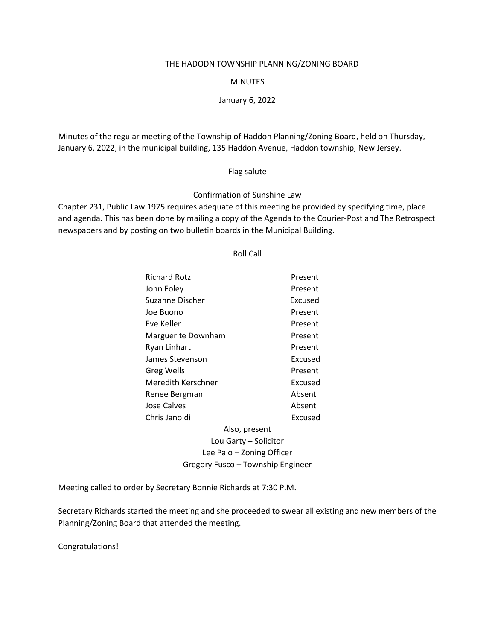#### THE HADODN TOWNSHIP PLANNING/ZONING BOARD

## MINUTES

## January 6, 2022

Minutes of the regular meeting of the Township of Haddon Planning/Zoning Board, held on Thursday, January 6, 2022, in the municipal building, 135 Haddon Avenue, Haddon township, New Jersey.

### Flag salute

## Confirmation of Sunshine Law

Chapter 231, Public Law 1975 requires adequate of this meeting be provided by specifying time, place and agenda. This has been done by mailing a copy of the Agenda to the Courier-Post and The Retrospect newspapers and by posting on two bulletin boards in the Municipal Building.

# Roll Call

| <b>Richard Rotz</b>               | Present |
|-----------------------------------|---------|
|                                   |         |
| John Foley                        | Present |
| Suzanne Discher                   | Excused |
| Joe Buono                         | Present |
| Eve Keller                        | Present |
| Marguerite Downham                | Present |
| Ryan Linhart                      | Present |
| James Stevenson                   | Excused |
| Greg Wells                        | Present |
| Meredith Kerschner                | Excused |
| Renee Bergman                     | Absent  |
| Jose Calves                       | Absent  |
| Chris Janoldi                     | Excused |
| Also, present                     |         |
| Lou Garty – Solicitor             |         |
| Lee Palo – Zoning Officer         |         |
| Gregory Fusco - Township Engineer |         |

Meeting called to order by Secretary Bonnie Richards at 7:30 P.M.

Secretary Richards started the meeting and she proceeded to swear all existing and new members of the Planning/Zoning Board that attended the meeting.

Congratulations!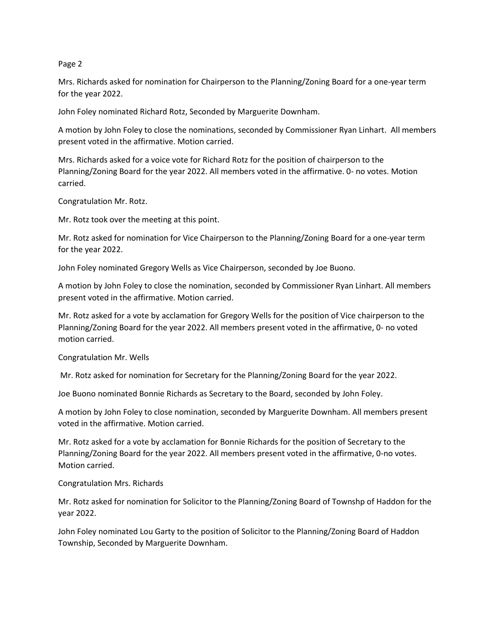Mrs. Richards asked for nomination for Chairperson to the Planning/Zoning Board for a one-year term for the year 2022.

John Foley nominated Richard Rotz, Seconded by Marguerite Downham.

A motion by John Foley to close the nominations, seconded by Commissioner Ryan Linhart. All members present voted in the affirmative. Motion carried.

Mrs. Richards asked for a voice vote for Richard Rotz for the position of chairperson to the Planning/Zoning Board for the year 2022. All members voted in the affirmative. 0- no votes. Motion carried.

Congratulation Mr. Rotz.

Mr. Rotz took over the meeting at this point.

Mr. Rotz asked for nomination for Vice Chairperson to the Planning/Zoning Board for a one-year term for the year 2022.

John Foley nominated Gregory Wells as Vice Chairperson, seconded by Joe Buono.

A motion by John Foley to close the nomination, seconded by Commissioner Ryan Linhart. All members present voted in the affirmative. Motion carried.

Mr. Rotz asked for a vote by acclamation for Gregory Wells for the position of Vice chairperson to the Planning/Zoning Board for the year 2022. All members present voted in the affirmative, 0- no voted motion carried.

Congratulation Mr. Wells

Mr. Rotz asked for nomination for Secretary for the Planning/Zoning Board for the year 2022.

Joe Buono nominated Bonnie Richards as Secretary to the Board, seconded by John Foley.

A motion by John Foley to close nomination, seconded by Marguerite Downham. All members present voted in the affirmative. Motion carried.

Mr. Rotz asked for a vote by acclamation for Bonnie Richards for the position of Secretary to the Planning/Zoning Board for the year 2022. All members present voted in the affirmative, 0-no votes. Motion carried.

Congratulation Mrs. Richards

Mr. Rotz asked for nomination for Solicitor to the Planning/Zoning Board of Townshp of Haddon for the year 2022.

John Foley nominated Lou Garty to the position of Solicitor to the Planning/Zoning Board of Haddon Township, Seconded by Marguerite Downham.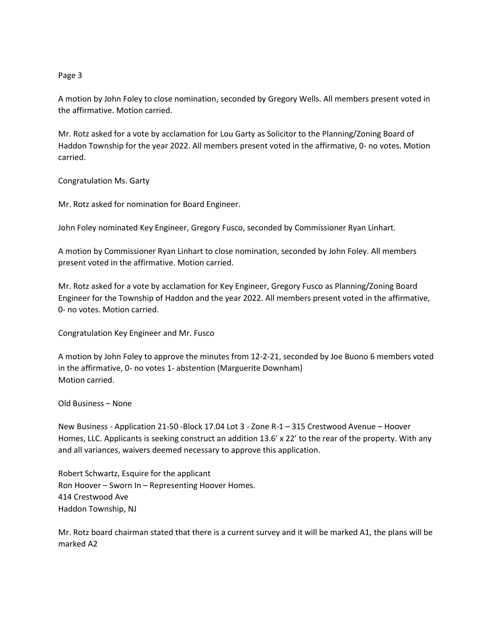A motion by John Foley to close nomination, seconded by Gregory Wells. All members present voted in the affirmative. Motion carried.

Mr. Rotz asked for a vote by acclamation for Lou Garty as Solicitor to the Planning/Zoning Board of Haddon Township for the year 2022. All members present voted in the affirmative, 0- no votes. Motion carried.

Congratulation Ms. Garty

Mr. Rotz asked for nomination for Board Engineer.

John Foley nominated Key Engineer, Gregory Fusco, seconded by Commissioner Ryan Linhart.

A motion by Commissioner Ryan Linhart to close nomination, seconded by John Foley. All members present voted in the affirmative. Motion carried.

Mr. Rotz asked for a vote by acclamation for Key Engineer, Gregory Fusco as Planning/Zoning Board Engineer for the Township of Haddon and the year 2022. All members present voted in the affirmative, 0- no votes. Motion carried.

Congratulation Key Engineer and Mr. Fusco

A motion by John Foley to approve the minutes from 12-2-21, seconded by Joe Buono 6 members voted in the affirmative, 0- no votes 1- abstention (Marguerite Downham) Motion carried.

### Old Business – None

New Business - Application 21-50 -Block 17.04 Lot 3 - Zone R-1 – 315 Crestwood Avenue – Hoover Homes, LLC. Applicants is seeking construct an addition 13.6' x 22' to the rear of the property. With any and all variances, waivers deemed necessary to approve this application.

Robert Schwartz, Esquire for the applicant Ron Hoover – Sworn In – Representing Hoover Homes. 414 Crestwood Ave Haddon Township, NJ

Mr. Rotz board chairman stated that there is a current survey and it will be marked A1, the plans will be marked A2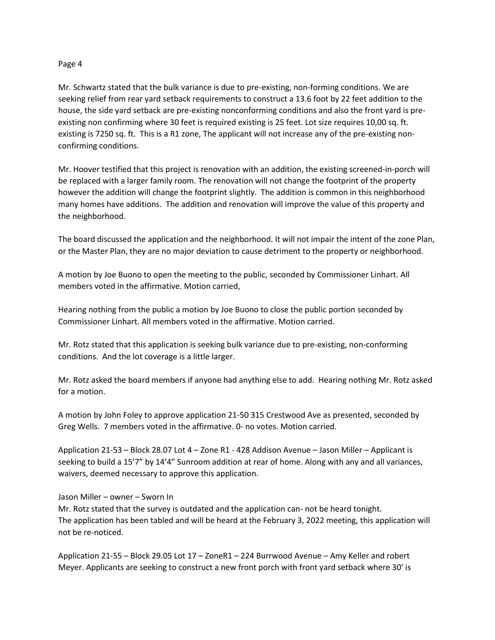Mr. Schwartz stated that the bulk variance is due to pre-existing, non-forming conditions. We are seeking relief from rear yard setback requirements to construct a 13.6 foot by 22 feet addition to the house, the side yard setback are pre-existing nonconforming conditions and also the front yard is preexisting non confirming where 30 feet is required existing is 25 feet. Lot size requires 10,00 sq. ft. existing is 7250 sq. ft. This is a R1 zone, The applicant will not increase any of the pre-existing nonconfirming conditions.

Mr. Hoover testified that this project is renovation with an addition, the existing screened-in-porch will be replaced with a larger family room. The renovation will not change the footprint of the property however the addition will change the footprint slightly. The addition is common in this neighborhood many homes have additions. The addition and renovation will improve the value of this property and the neighborhood.

The board discussed the application and the neighborhood. It will not impair the intent of the zone Plan, or the Master Plan, they are no major deviation to cause detriment to the property or neighborhood.

A motion by Joe Buono to open the meeting to the public, seconded by Commissioner Linhart. All members voted in the affirmative. Motion carried,

Hearing nothing from the public a motion by Joe Buono to close the public portion seconded by Commissioner Linhart. All members voted in the affirmative. Motion carried.

Mr. Rotz stated that this application is seeking bulk variance due to pre-existing, non-conforming conditions. And the lot coverage is a little larger.

Mr. Rotz asked the board members if anyone had anything else to add. Hearing nothing Mr. Rotz asked for a motion.

A motion by John Foley to approve application 21-50 315 Crestwood Ave as presented, seconded by Greg Wells. 7 members voted in the affirmative. 0- no votes. Motion carried.

Application 21-53 – Block 28.07 Lot 4 – Zone R1 - 428 Addison Avenue – Jason Miller – Applicant is seeking to build a 15'7" by 14'4" Sunroom addition at rear of home. Along with any and all variances, waivers, deemed necessary to approve this application.

### Jason Miller – owner – Sworn In

Mr. Rotz stated that the survey is outdated and the application can- not be heard tonight. The application has been tabled and will be heard at the February 3, 2022 meeting, this application will not be re-noticed.

Application 21-55 – Block 29.05 Lot 17 – ZoneR1 – 224 Burrwood Avenue – Amy Keller and robert Meyer. Applicants are seeking to construct a new front porch with front yard setback where 30' is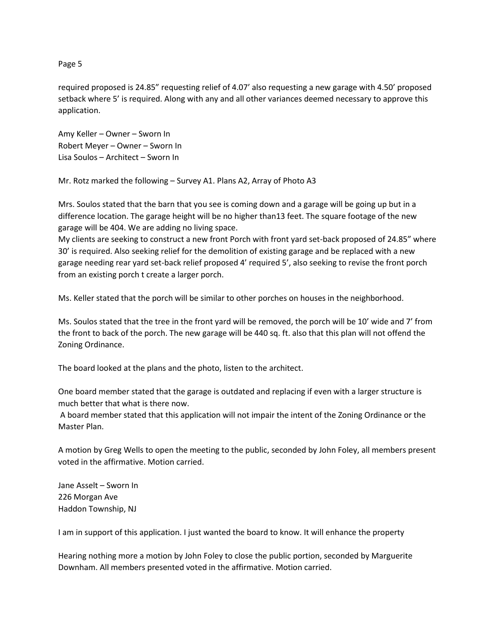required proposed is 24.85" requesting relief of 4.07' also requesting a new garage with 4.50' proposed setback where 5' is required. Along with any and all other variances deemed necessary to approve this application.

Amy Keller – Owner – Sworn In Robert Meyer – Owner – Sworn In Lisa Soulos – Architect – Sworn In

Mr. Rotz marked the following – Survey A1. Plans A2, Array of Photo A3

Mrs. Soulos stated that the barn that you see is coming down and a garage will be going up but in a difference location. The garage height will be no higher than13 feet. The square footage of the new garage will be 404. We are adding no living space.

My clients are seeking to construct a new front Porch with front yard set-back proposed of 24.85" where 30' is required. Also seeking relief for the demolition of existing garage and be replaced with a new garage needing rear yard set-back relief proposed 4' required 5', also seeking to revise the front porch from an existing porch t create a larger porch.

Ms. Keller stated that the porch will be similar to other porches on houses in the neighborhood.

Ms. Soulos stated that the tree in the front yard will be removed, the porch will be 10' wide and 7' from the front to back of the porch. The new garage will be 440 sq. ft. also that this plan will not offend the Zoning Ordinance.

The board looked at the plans and the photo, listen to the architect.

One board member stated that the garage is outdated and replacing if even with a larger structure is much better that what is there now.

A board member stated that this application will not impair the intent of the Zoning Ordinance or the Master Plan.

A motion by Greg Wells to open the meeting to the public, seconded by John Foley, all members present voted in the affirmative. Motion carried.

Jane Asselt – Sworn In 226 Morgan Ave Haddon Township, NJ

I am in support of this application. I just wanted the board to know. It will enhance the property

Hearing nothing more a motion by John Foley to close the public portion, seconded by Marguerite Downham. All members presented voted in the affirmative. Motion carried.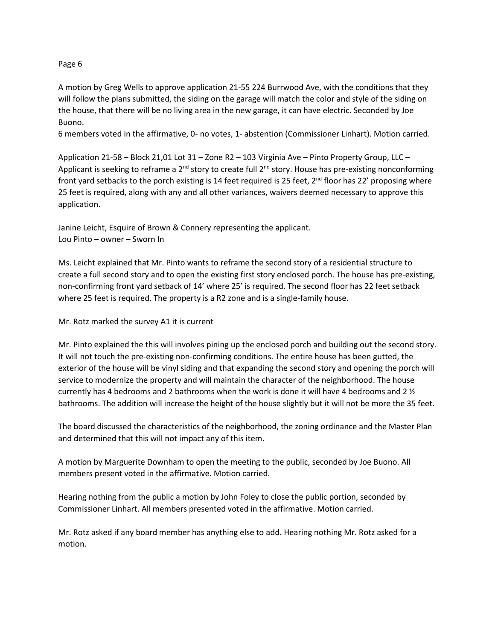A motion by Greg Wells to approve application 21-55 224 Burrwood Ave, with the conditions that they will follow the plans submitted, the siding on the garage will match the color and style of the siding on the house, that there will be no living area in the new garage, it can have electric. Seconded by Joe Buono.

6 members voted in the affirmative, 0- no votes, 1- abstention (Commissioner Linhart). Motion carried.

Application 21-58 – Block 21,01 Lot 31 – Zone R2 – 103 Virginia Ave – Pinto Property Group, LLC – Applicant is seeking to reframe a 2<sup>nd</sup> story to create full 2<sup>nd</sup> story. House has pre-existing nonconforming front yard setbacks to the porch existing is 14 feet required is 25 feet, 2<sup>nd</sup> floor has 22' proposing where 25 feet is required, along with any and all other variances, waivers deemed necessary to approve this application.

Janine Leicht, Esquire of Brown & Connery representing the applicant. Lou Pinto – owner – Sworn In

Ms. Leicht explained that Mr. Pinto wants to reframe the second story of a residential structure to create a full second story and to open the existing first story enclosed porch. The house has pre-existing, non-confirming front yard setback of 14' where 25' is required. The second floor has 22 feet setback where 25 feet is required. The property is a R2 zone and is a single-family house.

Mr. Rotz marked the survey A1 it is current

Mr. Pinto explained the this will involves pining up the enclosed porch and building out the second story. It will not touch the pre-existing non-confirming conditions. The entire house has been gutted, the exterior of the house will be vinyl siding and that expanding the second story and opening the porch will service to modernize the property and will maintain the character of the neighborhood. The house currently has 4 bedrooms and 2 bathrooms when the work is done it will have 4 bedrooms and 2  $\frac{1}{2}$ bathrooms. The addition will increase the height of the house slightly but it will not be more the 35 feet.

The board discussed the characteristics of the neighborhood, the zoning ordinance and the Master Plan and determined that this will not impact any of this item.

A motion by Marguerite Downham to open the meeting to the public, seconded by Joe Buono. All members present voted in the affirmative. Motion carried.

Hearing nothing from the public a motion by John Foley to close the public portion, seconded by Commissioner Linhart. All members presented voted in the affirmative. Motion carried.

Mr. Rotz asked if any board member has anything else to add. Hearing nothing Mr. Rotz asked for a motion.